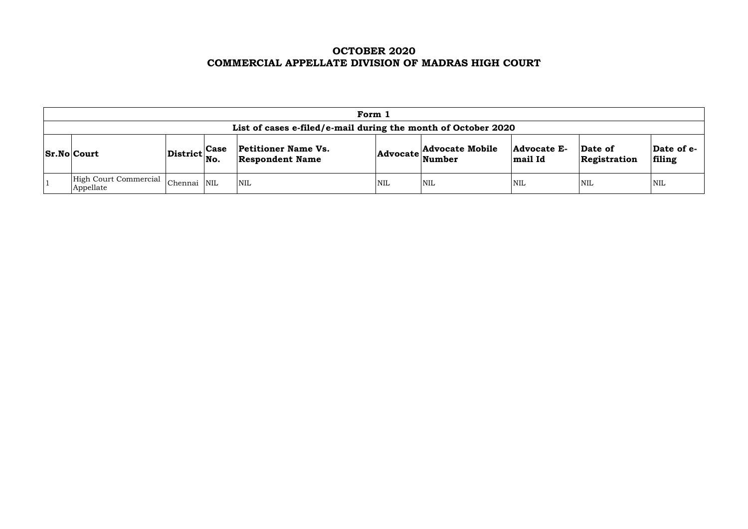# **OCTOBER 2020 COMMERCIAL APPELLATE DIVISION OF MADRAS HIGH COURT**

| Form 1                                                                                                                                                                                                                                                         |             |  |     |            |            |     |            |            |  |  |  |
|----------------------------------------------------------------------------------------------------------------------------------------------------------------------------------------------------------------------------------------------------------------|-------------|--|-----|------------|------------|-----|------------|------------|--|--|--|
| List of cases e-filed/e-mail during the month of October 2020                                                                                                                                                                                                  |             |  |     |            |            |     |            |            |  |  |  |
| <b>Advocate Mobile</b><br><b>Petitioner Name Vs.</b><br>Date of e-<br>Advocate E-<br>Date of<br> Case<br>$ {\rm District} _{\rm No.}$<br><b>Sr.No Court</b><br>$ {\bf Advocate} \text{Number} $<br><b>Respondent Name</b><br>filing<br>mail Id<br>Registration |             |  |     |            |            |     |            |            |  |  |  |
| High Court Commercial<br>Appellate                                                                                                                                                                                                                             | Chennai NIL |  | NIL | <b>NIL</b> | <b>NIL</b> | NIL | <b>NIL</b> | <b>NIL</b> |  |  |  |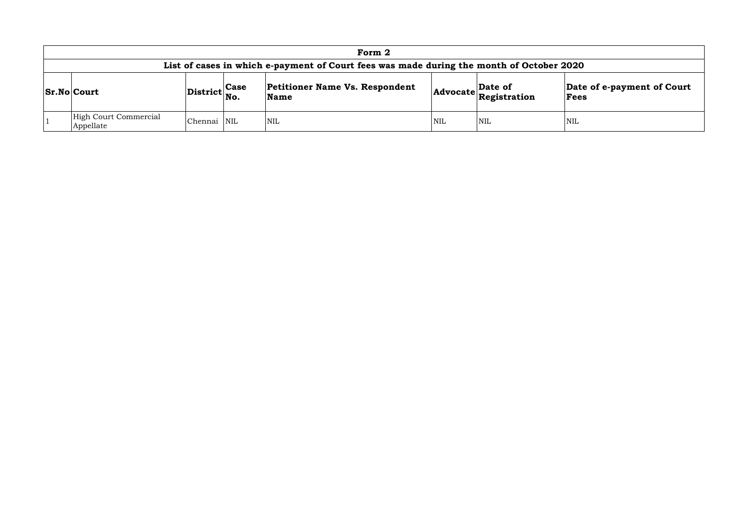|                                    |                                                |            | Form 2                                                                                   |            |                                                       |                            |
|------------------------------------|------------------------------------------------|------------|------------------------------------------------------------------------------------------|------------|-------------------------------------------------------|----------------------------|
|                                    |                                                |            | List of cases in which e-payment of Court fees was made during the month of October 2020 |            |                                                       |                            |
| <b>Sr.No Court</b>                 | $ \text{District} ^{\text{Case}}_{\text{No.}}$ |            | <b>Petitioner Name Vs. Respondent</b><br>$\mathbf{\mathbf{Name}}$                        |            | Date of<br>$ {\bf Advocate} \tilde{\bf Registration}$ | $\sf{Data}$<br><b>Fee:</b> |
| High Court Commercial<br>Appellate | Chennai                                        | <b>NIL</b> | NIL <sup></sup>                                                                          | <b>NIL</b> | <b>NIL</b>                                            | NIL                        |

## **Date of e-payment of Court Fees**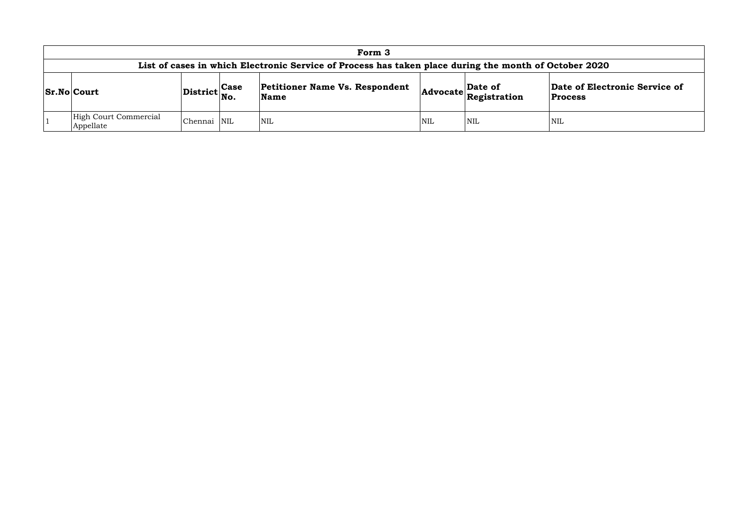## **Le of Electronic Service of Process**

|                                                                                                       |                              |              | Form 3                                               |            |                                                                                                                |                                 |  |  |  |  |
|-------------------------------------------------------------------------------------------------------|------------------------------|--------------|------------------------------------------------------|------------|----------------------------------------------------------------------------------------------------------------|---------------------------------|--|--|--|--|
| List of cases in which Electronic Service of Process has taken place during the month of October 2020 |                              |              |                                                      |            |                                                                                                                |                                 |  |  |  |  |
| <b>Sr.No Court</b>                                                                                    | $ {\rm District} _{\rm No.}$ | $\vert$ Case | <b>Petitioner Name Vs. Respondent</b><br><b>Name</b> |            | $\begin{array}{ c c }\n\hline\n\text{Advocate} & \text{Date of} \\ \hline\n\text{Registribution}\n\end{array}$ | Date of Elect<br><b>Process</b> |  |  |  |  |
| High Court Commercial<br>Appellate                                                                    | Chennai NIL                  |              | NIL                                                  | <b>NIL</b> | <b>NIL</b>                                                                                                     | <b>NIL</b>                      |  |  |  |  |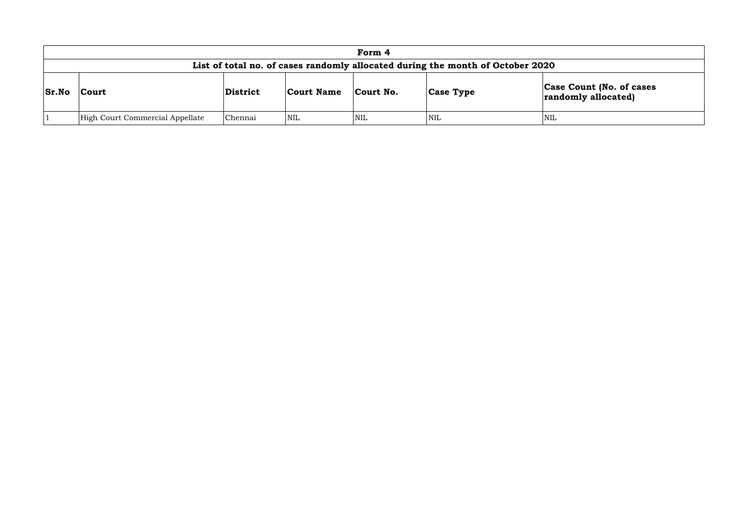|              |                                 |          |                   | Form 4     |                                                                                |               |
|--------------|---------------------------------|----------|-------------------|------------|--------------------------------------------------------------------------------|---------------|
|              |                                 |          |                   |            | List of total no. of cases randomly allocated during the month of October 2020 |               |
| <b>Sr.No</b> | <b>Court</b>                    | District | <b>Court Name</b> | Court No.  | <b>Case Type</b>                                                               | Case<br>rando |
|              | High Court Commercial Appellate | Chennai  | <b>NIL</b>        | <b>NIL</b> | <b>NIL</b>                                                                     | <b>NIL</b>    |

## **Count (No. of cases** *<u>lomly allocated</u>*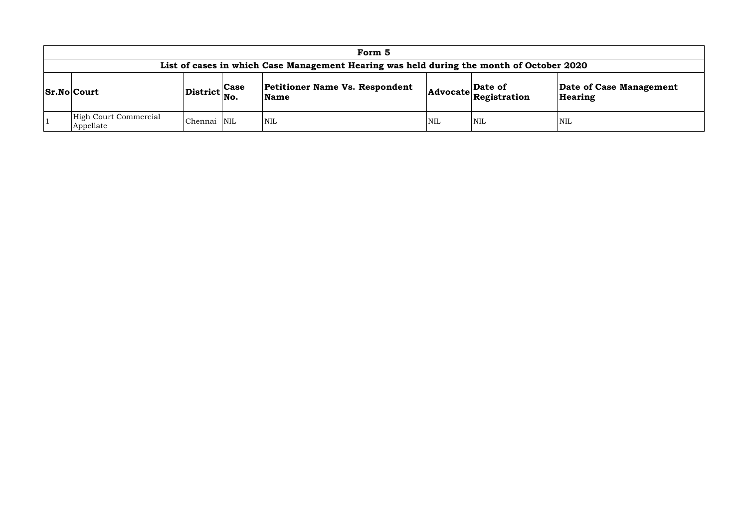## **Date of Case Management earing**

|                                    |                              |      | Form 5                                                                                   |            |                                                                                                               |                  |
|------------------------------------|------------------------------|------|------------------------------------------------------------------------------------------|------------|---------------------------------------------------------------------------------------------------------------|------------------|
|                                    |                              |      | List of cases in which Case Management Hearing was held during the month of October 2020 |            |                                                                                                               |                  |
| <b>Sr.No Court</b>                 | $ {\rm District} _{\rm No.}$ | Case | <b>Petitioner Name Vs. Respondent</b><br><b>Name</b>                                     |            | $\left $ Advocate $\left  \begin{array}{l}\n \textbf{Date of} \\  \textbf{Resistration}\n \end{array}\right $ | Date c<br>Hearir |
| High Court Commercial<br>Appellate | Chennai NIL                  |      | <b>NIL</b>                                                                               | <b>NIL</b> | <b>NIL</b>                                                                                                    | NIL              |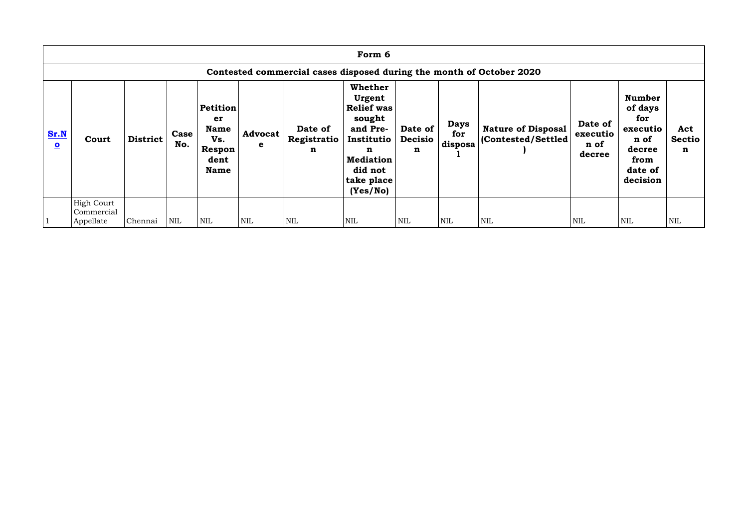|                                 |                                              |                 |             |                                                                       |                     |                                       | Form 6                                                                                                                                          |                                          |                               |                                                                      |                                       |                                                                                              |                           |
|---------------------------------|----------------------------------------------|-----------------|-------------|-----------------------------------------------------------------------|---------------------|---------------------------------------|-------------------------------------------------------------------------------------------------------------------------------------------------|------------------------------------------|-------------------------------|----------------------------------------------------------------------|---------------------------------------|----------------------------------------------------------------------------------------------|---------------------------|
|                                 |                                              |                 |             |                                                                       |                     |                                       |                                                                                                                                                 |                                          |                               | Contested commercial cases disposed during the month of October 2020 |                                       |                                                                                              |                           |
| Sr.N<br>$\overline{\mathbf{o}}$ | Court                                        | <b>District</b> | Case<br>No. | Petition<br>er<br><b>Name</b><br>Vs.<br>Respon<br>dent<br><b>Name</b> | <b>Advocat</b><br>e | Date of<br>Registratio<br>$\mathbf n$ | <b>Whether</b><br>Urgent<br><b>Relief was</b><br>sought<br>and Pre-<br>Institutio<br>n<br><b>Mediation</b><br>did not<br>take place<br>(Yes/No) | Date of<br><b>Decisio</b><br>$\mathbf n$ | <b>Days</b><br>for<br>disposa | <b>Nature of Disposal</b><br>(Contested/Settled)                     | Date of<br>executio<br>n of<br>decree | <b>Number</b><br>of days<br>for<br>executio<br>n of<br>decree<br>from<br>date of<br>decision | Act<br><b>Sectio</b><br>n |
|                                 | <b>High Court</b><br>Commercial<br>Appellate | Chennai         | <b>NIL</b>  | <b>NIL</b>                                                            | $\text{NIL}$        | <b>NIL</b>                            | <b>NIL</b>                                                                                                                                      | <b>NIL</b>                               | <b>NIL</b>                    | <b>NIL</b>                                                           | <b>NIL</b>                            | NIL                                                                                          | <b>NIL</b>                |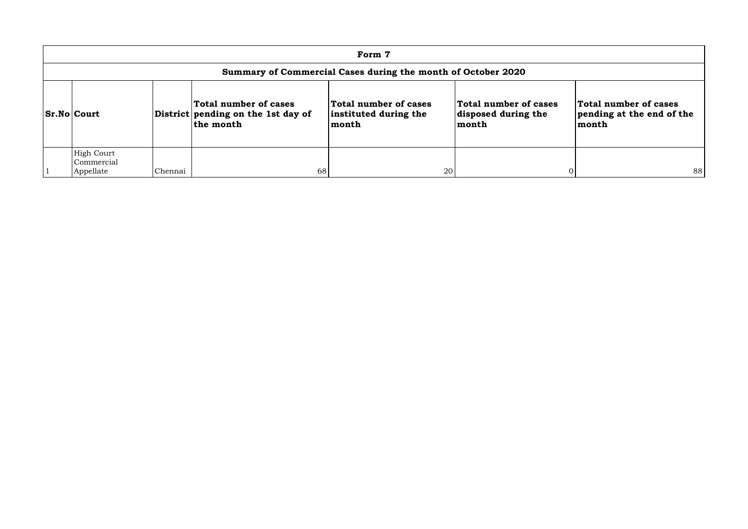|                                                              |         |                                                                          | Form 7                                                  |                                                               |                                                             |  |  |  |  |  |  |  |
|--------------------------------------------------------------|---------|--------------------------------------------------------------------------|---------------------------------------------------------|---------------------------------------------------------------|-------------------------------------------------------------|--|--|--|--|--|--|--|
| Summary of Commercial Cases during the month of October 2020 |         |                                                                          |                                                         |                                                               |                                                             |  |  |  |  |  |  |  |
| <b>Sr.No Court</b>                                           |         | Total number of cases<br>District pending on the 1st day of<br>the month | Total number of cases<br>instituted during the<br>month | Total number of cases<br>disposed during the<br>$\sf{lmonth}$ | Total number of cases<br>pending at the end of the<br>month |  |  |  |  |  |  |  |
| <b>High Court</b><br>Commercial<br>Appellate                 | Chennai | 68                                                                       | 20                                                      |                                                               | 88                                                          |  |  |  |  |  |  |  |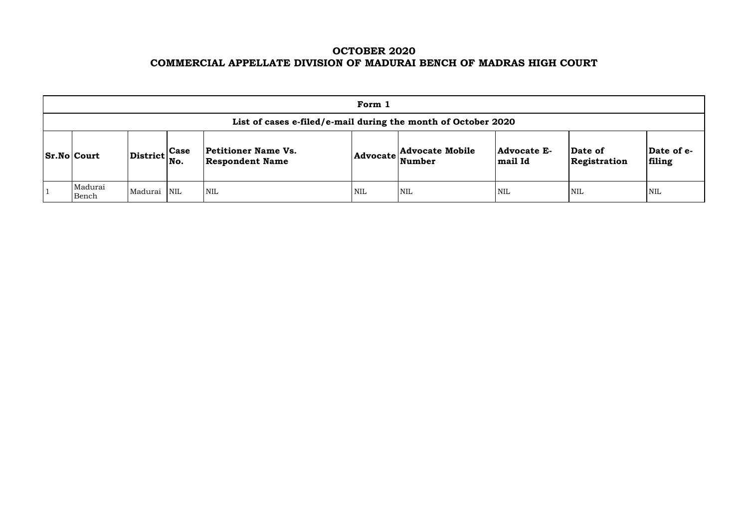# **OCTOBER 2020 COMMERCIAL APPELLATE DIVISION OF MADURAI BENCH OF MADRAS HIGH COURT**

|                                                               |                                                           |  |                                               | Form 1 |                                                             |                                      |                         |                       |  |  |  |
|---------------------------------------------------------------|-----------------------------------------------------------|--|-----------------------------------------------|--------|-------------------------------------------------------------|--------------------------------------|-------------------------|-----------------------|--|--|--|
| List of cases e-filed/e-mail during the month of October 2020 |                                                           |  |                                               |        |                                                             |                                      |                         |                       |  |  |  |
| $ Sr.No $ Court                                               | $\left \text{District}\right _{\text{No.}}^{\text{Case}}$ |  | Petitioner Name Vs.<br><b>Respondent Name</b> |        | <b>Advocate Mobile</b><br>$ {\bf Advocate} \text{Number} \$ | <b>Advocate E-</b><br><b>mail Id</b> | Date of<br>Registration | $\mathbf{Da}$<br>fili |  |  |  |
| Madurai<br>Bench                                              | Madurai NIL                                               |  | <b>NIL</b>                                    | NIL    | <b>NIL</b>                                                  | <b>NIL</b>                           | NIL                     | NIL                   |  |  |  |

| Date of<br>Registration | Date of e-<br>filing |
|-------------------------|----------------------|
| NIL                     | NH.                  |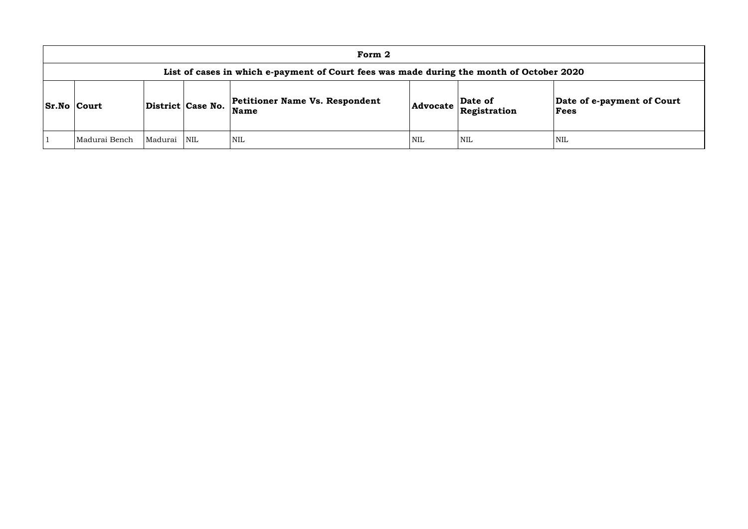| Form 2                                                                                   |         |                   |                                                      |            |                         |                       |  |  |  |  |
|------------------------------------------------------------------------------------------|---------|-------------------|------------------------------------------------------|------------|-------------------------|-----------------------|--|--|--|--|
| List of cases in which e-payment of Court fees was made during the month of October 2020 |         |                   |                                                      |            |                         |                       |  |  |  |  |
| <b>Sr.No Court</b>                                                                       |         | District Case No. | <b>Petitioner Name Vs. Respondent</b><br><b>Name</b> | Advocate   | Date of<br>Registration | Date o<br><b>Fees</b> |  |  |  |  |
| Madurai Bench                                                                            | Madurai | <b>NIL</b>        | <b>NIL</b>                                           | <b>NIL</b> | <b>NIL</b>              | NIL                   |  |  |  |  |

### **Date of e-payment of Court Fees**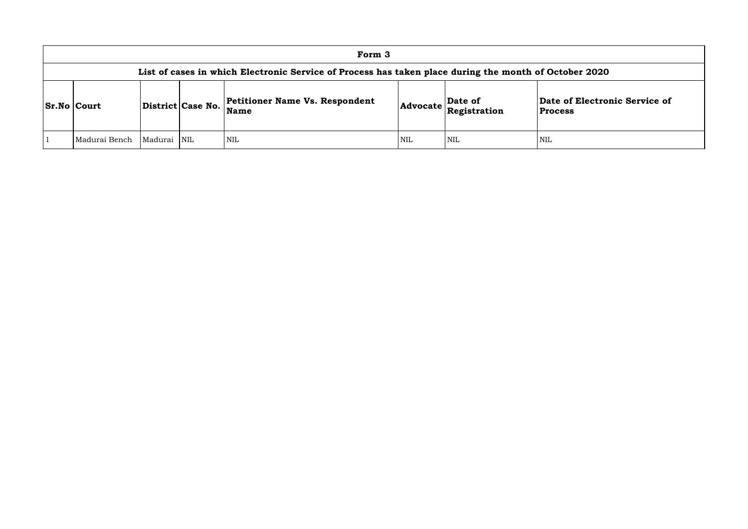### **of Electronic Service of Process**

|                    |               |             |                   | Form 3                                                                                                |            |                                                                                                           |                                   |
|--------------------|---------------|-------------|-------------------|-------------------------------------------------------------------------------------------------------|------------|-----------------------------------------------------------------------------------------------------------|-----------------------------------|
|                    |               |             |                   | List of cases in which Electronic Service of Process has taken place during the month of October 2020 |            |                                                                                                           |                                   |
| <b>Sr.No Court</b> |               |             | District Case No. | <b>Petitioner Name Vs. Respondent</b><br>Name                                                         |            | $\left $ Advocate $\left  \begin{array}{l} \textbf{Date of} \\ \textbf{Resistration} \end{array} \right $ | Date of Electro<br><b>Process</b> |
|                    | Madurai Bench | Madurai NIL |                   | <b>NIL</b>                                                                                            | <b>NIL</b> | <b>NIL</b>                                                                                                | <b>NIL</b>                        |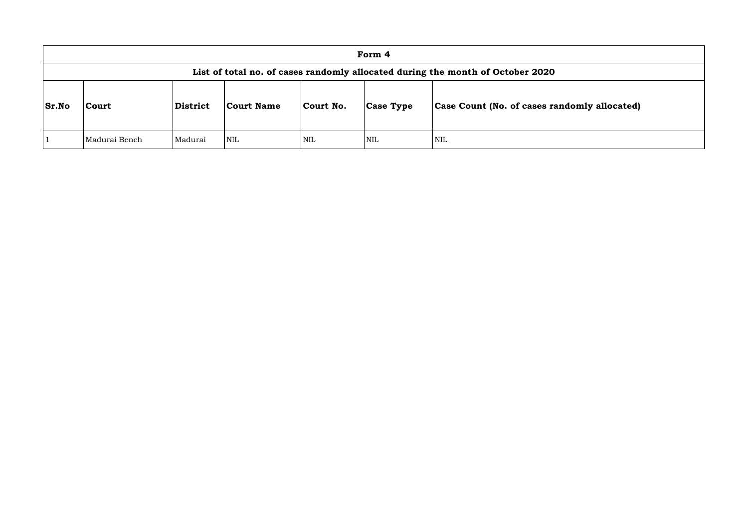| Form 4       |                                                                                |                 |            |            |                  |                                      |  |  |  |  |  |
|--------------|--------------------------------------------------------------------------------|-----------------|------------|------------|------------------|--------------------------------------|--|--|--|--|--|
|              | List of total no. of cases randomly allocated during the month of October 2020 |                 |            |            |                  |                                      |  |  |  |  |  |
| <b>Sr.No</b> | Court                                                                          | <b>District</b> | Court Name | Court No.  | <b>Case Type</b> | <b>Case Count (No. of cases rand</b> |  |  |  |  |  |
|              | Madurai Bench                                                                  | Madurai         | <b>NIL</b> | <b>NIL</b> | <b>NIL</b>       | <b>NIL</b>                           |  |  |  |  |  |

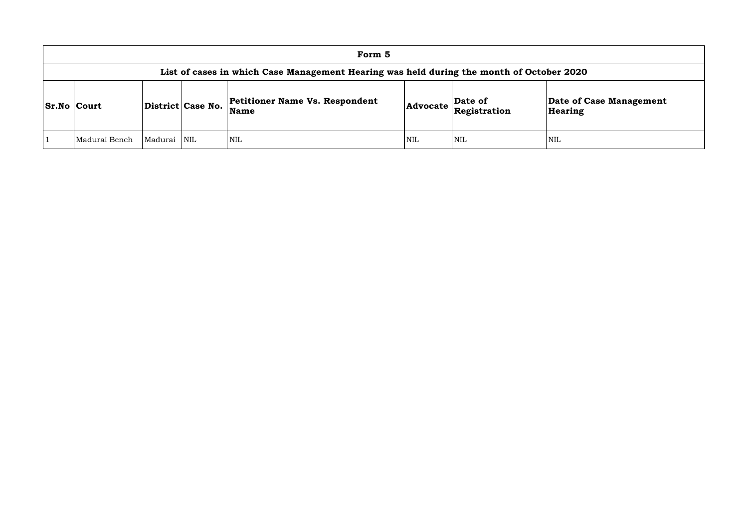|                                                                                          |                |                   | Form 5                                        |                 |                         |                             |  |  |  |  |
|------------------------------------------------------------------------------------------|----------------|-------------------|-----------------------------------------------|-----------------|-------------------------|-----------------------------|--|--|--|--|
| List of cases in which Case Management Hearing was held during the month of October 2020 |                |                   |                                               |                 |                         |                             |  |  |  |  |
| <b>Sr.No Court</b>                                                                       |                | District Case No. | Petitioner Name Vs. Respondent<br><b>Name</b> | <b>Advocate</b> | Date of<br>Registration | Date of <b>C</b><br>Hearing |  |  |  |  |
| Madurai Bench                                                                            | <b>Madurai</b> | <b>NIL</b>        | <b>NIL</b>                                    | <b>NIL</b>      | <b>NIL</b>              | NIL                         |  |  |  |  |

**e of Case Management** ring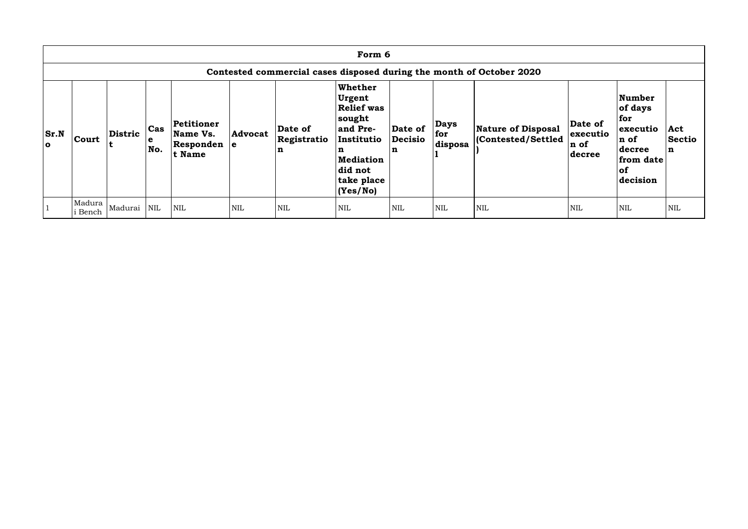|                    | Form 6                                                               |                |                                      |                                                 |                |                             |                                                                                                                                                   |                                |                               |                                                |                                        |                                                                                        |                                     |
|--------------------|----------------------------------------------------------------------|----------------|--------------------------------------|-------------------------------------------------|----------------|-----------------------------|---------------------------------------------------------------------------------------------------------------------------------------------------|--------------------------------|-------------------------------|------------------------------------------------|----------------------------------------|----------------------------------------------------------------------------------------|-------------------------------------|
|                    | Contested commercial cases disposed during the month of October 2020 |                |                                      |                                                 |                |                             |                                                                                                                                                   |                                |                               |                                                |                                        |                                                                                        |                                     |
| Sr.N <br>$\bullet$ | <b>Court</b>                                                         | <b>Distric</b> | $\operatorname{\sf Cas}$<br>e<br>No. | Petitioner<br>Name Vs.<br>Responden e<br>t Name | <b>Advocat</b> | Date of<br>Registratio<br>n | <b>Whether</b><br>Urgent<br><b>Relief was</b><br> sought<br>and Pre-<br>Institutio<br>n<br><b>Mediation</b><br>did not<br>take place<br> (Yes/No) | Date of<br><b>Decisio</b><br>n | <b>Days</b><br>for<br>disposa | <b>Nature of Disposal</b><br>Contested/Settled | Date of<br>executio<br>n of<br> decree | Number<br>of days<br>for<br>executio<br>n of<br>decree<br>from date<br> of<br>decision | Act<br><b>Sectio</b><br>$\mathbf n$ |
|                    | Madura<br>i Bench                                                    | Madurai NIL    |                                      | <b>NIL</b>                                      | <b>NIL</b>     | <b>NIL</b>                  | <b>NIL</b>                                                                                                                                        | <b>NIL</b>                     | <b>NIL</b>                    | NIL                                            | <b>NIL</b>                             | NIL                                                                                    | <b>NIL</b>                          |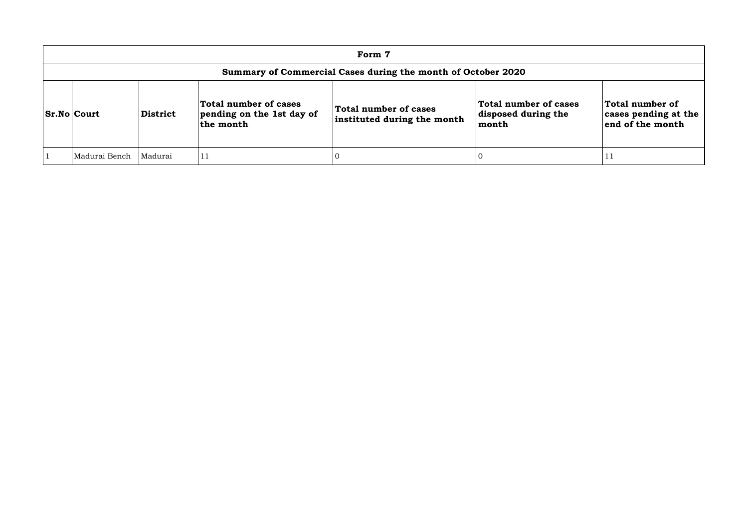| Form 7                                                       |          |                                                                 |                                                      |                                                       |                                                             |  |  |  |  |
|--------------------------------------------------------------|----------|-----------------------------------------------------------------|------------------------------------------------------|-------------------------------------------------------|-------------------------------------------------------------|--|--|--|--|
| Summary of Commercial Cases during the month of October 2020 |          |                                                                 |                                                      |                                                       |                                                             |  |  |  |  |
| <b>Sr.No Court</b>                                           | District | Total number of cases<br>pending on the 1st day of<br>the month | Total number of cases<br>instituted during the month | Total number of cases<br>disposed during the<br>month | Total number of<br>cases pending at the<br>end of the month |  |  |  |  |
| Madurai Bench                                                | Madurai  | 11                                                              |                                                      |                                                       | T T                                                         |  |  |  |  |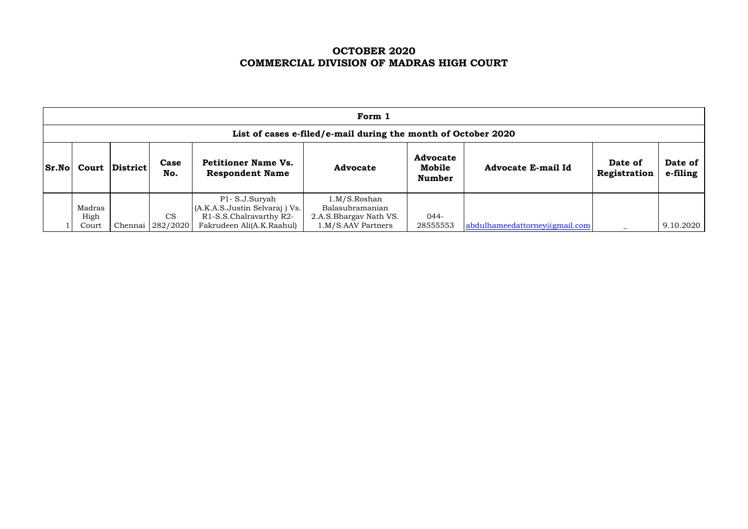# **OCTOBER 2020 COMMERCIAL DIVISION OF MADRAS HIGH COURT**

|                                                                                                                 | Form 1                                                        |          |                                            |                                                |                                 |                     |                               |  |           |  |  |  |
|-----------------------------------------------------------------------------------------------------------------|---------------------------------------------------------------|----------|--------------------------------------------|------------------------------------------------|---------------------------------|---------------------|-------------------------------|--|-----------|--|--|--|
|                                                                                                                 | List of cases e-filed/e-mail during the month of October 2020 |          |                                            |                                                |                                 |                     |                               |  |           |  |  |  |
| Case<br><b>Petitioner Name Vs.</b><br><b>Sr.No</b><br><b>District</b><br>Court<br>No.<br><b>Respondent Name</b> |                                                               | Advocate | <b>Advocate</b><br>Mobile<br><b>Number</b> | <b>Advocate E-mail Id</b>                      | Date of<br>Registration         | Date of<br>e-filing |                               |  |           |  |  |  |
|                                                                                                                 | Madras                                                        |          |                                            | P1-S.J.Suryah<br>(A.K.A.S.Justin Selvaraj) Vs. | 1.M/S.Roshan<br>Balasubramanian |                     |                               |  |           |  |  |  |
|                                                                                                                 | High                                                          |          | <b>CS</b>                                  | R1-S.S.Chalravarthy R2-                        | 2.A.S. Bhargav Nath VS.         | 044-                |                               |  |           |  |  |  |
|                                                                                                                 | Court                                                         |          | Chennai 282/2020                           | Fakrudeen Ali(A.K.Raahul)                      | 1.M/S.AAV Partners              | 28555553            | abdulhameedattorney@gmail.com |  | 9.10.2020 |  |  |  |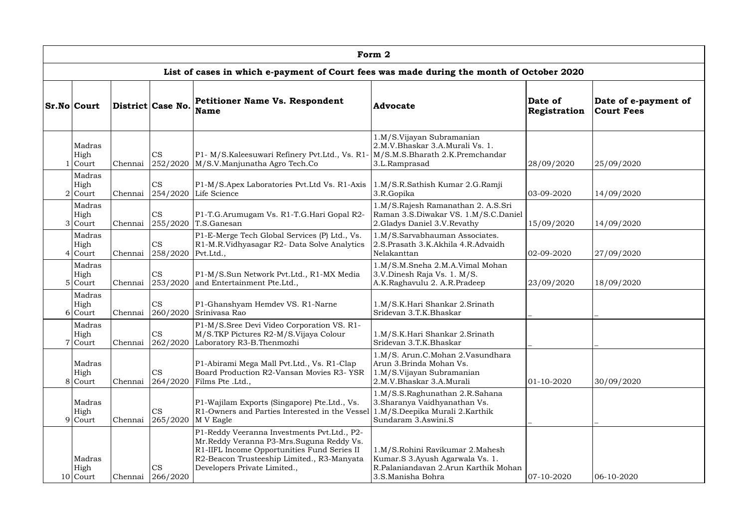| Form 2                      |         |                       |                                                                                                                                                                                                                      |                                                                                                                                 |                         |                                           |  |  |  |  |
|-----------------------------|---------|-----------------------|----------------------------------------------------------------------------------------------------------------------------------------------------------------------------------------------------------------------|---------------------------------------------------------------------------------------------------------------------------------|-------------------------|-------------------------------------------|--|--|--|--|
|                             |         |                       | List of cases in which e-payment of Court fees was made during the month of October 2020                                                                                                                             |                                                                                                                                 |                         |                                           |  |  |  |  |
| <b>Sr.No Court</b>          |         | District Case No.     | <b>Petitioner Name Vs. Respondent</b><br><b>Name</b>                                                                                                                                                                 | <b>Advocate</b>                                                                                                                 | Date of<br>Registration | Date of e-payment of<br><b>Court Fees</b> |  |  |  |  |
| Madras<br>High<br>Court     | Chennai | <b>CS</b><br>252/2020 | P1- M/S.Kaleesuwari Refinery Pvt.Ltd., Vs. R1-<br>M/S.V.Manjunatha Agro Tech.Co                                                                                                                                      | 1.M/S.Vijayan Subramanian<br>2.M.V.Bhaskar 3.A.Murali Vs. 1.<br>M/S.M.S.Bharath 2.K.Premchandar<br>3.L.Ramprasad                | 28/09/2020              | 25/09/2020                                |  |  |  |  |
| Madras<br>High<br>$2$ Court | Chennai | <b>CS</b><br>254/2020 | P1-M/S.Apex Laboratories Pvt.Ltd Vs. R1-Axis<br>Life Science                                                                                                                                                         | 1.M/S.R.Sathish Kumar 2.G.Ramji<br>3.R.Gopika                                                                                   | 03-09-2020              | 14/09/2020                                |  |  |  |  |
| Madras<br>High<br>3 Court   | Chennai | <b>CS</b><br>255/2020 | P1-T.G.Arumugam Vs. R1-T.G.Hari Gopal R2-<br>T.S.Ganesan                                                                                                                                                             | 1.M/S.Rajesh Ramanathan 2. A.S.Sri<br>Raman 3.S.Diwakar VS. 1.M/S.C.Daniel<br>2. Gladys Daniel 3.V. Revathy                     | 15/09/2020              | 14/09/2020                                |  |  |  |  |
| Madras<br>High<br>$4$ Court | Chennai | <b>CS</b><br>258/2020 | P1-E-Merge Tech Global Services (P) Ltd., Vs.<br>R1-M.R.Vidhyasagar R2- Data Solve Analytics<br>Pvt.Ltd.,                                                                                                            | 1.M/S.Sarvabhauman Associates.<br>2.S.Prasath 3.K.Akhila 4.R.Advaidh<br>Nelakanttan                                             | 02-09-2020              | 27/09/2020                                |  |  |  |  |
| Madras<br>High<br>5 Court   | Chennai | <b>CS</b><br>253/2020 | P1-M/S.Sun Network Pvt.Ltd., R1-MX Media<br>and Entertainment Pte.Ltd.,                                                                                                                                              | 1.M/S.M.Sneha 2.M.A.Vimal Mohan<br>3.V.Dinesh Raja Vs. 1. M/S.<br>A.K.Raghavulu 2. A.R.Pradeep                                  | 23/09/2020              | 18/09/2020                                |  |  |  |  |
| Madras<br>High<br>6 Court   | Chennai | <b>CS</b><br>260/2020 | P1-Ghanshyam Hemdev VS. R1-Narne<br>Srinivasa Rao                                                                                                                                                                    | 1.M/S.K.Hari Shankar 2.Srinath<br>Sridevan 3.T.K.Bhaskar                                                                        |                         |                                           |  |  |  |  |
| Madras<br>High<br>$7$ Court | Chennai | <b>CS</b><br>262/2020 | P1-M/S.Sree Devi Video Corporation VS. R1-<br>M/S.TKP Pictures R2-M/S.Vijaya Colour<br>Laboratory R3-B. Thenmozhi                                                                                                    | 1.M/S.K.Hari Shankar 2.Srinath<br>Sridevan 3.T.K.Bhaskar                                                                        |                         |                                           |  |  |  |  |
| Madras<br>High<br>8 Court   | Chennai | <b>CS</b><br>264/2020 | P1-Abirami Mega Mall Pvt.Ltd., Vs. R1-Clap<br>Board Production R2-Vansan Movies R3- YSR<br>Films Pte .Ltd.,                                                                                                          | 1.M/S. Arun.C.Mohan 2.Vasundhara<br>Arun 3.Brinda Mohan Vs.<br>1.M/S.Vijayan Subramanian<br>2.M.V.Bhaskar 3.A.Murali            | 01-10-2020              | 30/09/2020                                |  |  |  |  |
| Madras<br>High<br>9 Court   | Chennai | <b>CS</b><br>265/2020 | P1-Wajilam Exports (Singapore) Pte.Ltd., Vs.<br>R1-Owners and Parties Interested in the Vessel<br>M V Eagle                                                                                                          | 1.M/S.S.Raghunathan 2.R.Sahana<br>3. Sharanya Vaidhyanathan Vs.<br>1.M/S.Deepika Murali 2.Karthik<br>Sundaram 3.Aswini.S        |                         |                                           |  |  |  |  |
| Madras<br>High<br>10 Court  | Chennai | <b>CS</b><br>266/2020 | P1-Reddy Veeranna Investments Pvt.Ltd., P2-<br>Mr.Reddy Veranna P3-Mrs.Suguna Reddy Vs.<br>R1-IIFL Income Opportunities Fund Series II<br>R2-Beacon Trusteeship Limited., R3-Manyata<br>Developers Private Limited., | 1.M/S.Rohini Ravikumar 2.Mahesh<br>Kumar.S 3.Ayush Agarwala Vs. 1.<br>R.Palaniandavan 2.Arun Karthik Mohan<br>3.S.Manisha Bohra | $ 07 - 10 - 2020$       | 06-10-2020                                |  |  |  |  |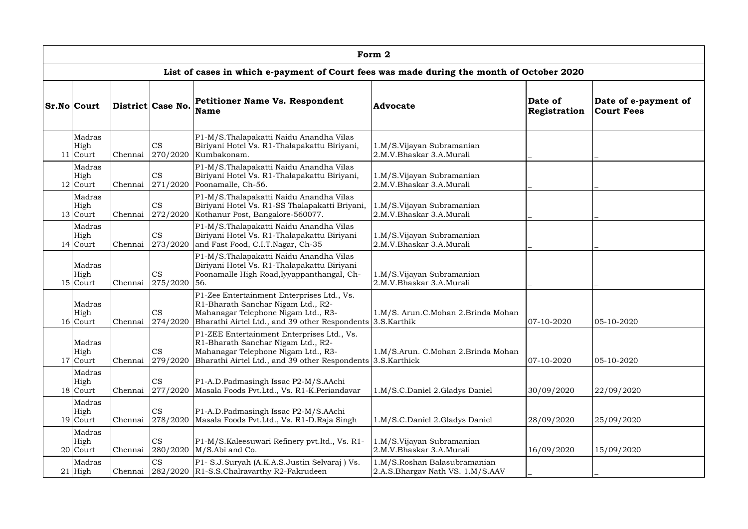|                              |         |                       |                                                                                                                                                                                        | Form 2                                                           |                         |                                           |
|------------------------------|---------|-----------------------|----------------------------------------------------------------------------------------------------------------------------------------------------------------------------------------|------------------------------------------------------------------|-------------------------|-------------------------------------------|
|                              |         |                       | List of cases in which e-payment of Court fees was made during the month of October 2020                                                                                               |                                                                  |                         |                                           |
| <b>Sr.No Court</b>           |         | District Case No.     | <b>Petitioner Name Vs. Respondent</b><br><b>Name</b>                                                                                                                                   | <b>Advocate</b>                                                  | Date of<br>Registration | Date of e-payment of<br><b>Court Fees</b> |
| Madras<br>High<br>$11$ Court | Chennai | CS<br>270/2020        | P1-M/S.Thalapakatti Naidu Anandha Vilas<br>Biriyani Hotel Vs. R1-Thalapakattu Biriyani,<br>Kumbakonam.                                                                                 | 1.M/S.Vijayan Subramanian<br>2.M.V.Bhaskar 3.A.Murali            |                         |                                           |
| Madras<br>High<br>$12$ Court | Chennai | <b>CS</b><br>271/2020 | P1-M/S.Thalapakatti Naidu Anandha Vilas<br>Biriyani Hotel Vs. R1-Thalapakattu Biriyani,<br>Poonamalle, Ch-56.                                                                          | 1.M/S.Vijayan Subramanian<br>2.M.V.Bhaskar 3.A.Murali            |                         |                                           |
| Madras<br>High<br>13 Court   | Chennai | <b>CS</b><br>272/2020 | P1-M/S.Thalapakatti Naidu Anandha Vilas<br>Biriyani Hotel Vs. R1-SS Thalapakatti Briyani,<br>Kothanur Post, Bangalore-560077.                                                          | 1.M/S.Vijayan Subramanian<br>2.M.V.Bhaskar 3.A.Murali            |                         |                                           |
| Madras<br>High<br>$14$ Court | Chennai | <b>CS</b><br>273/2020 | P1-M/S.Thalapakatti Naidu Anandha Vilas<br>Biriyani Hotel Vs. R1-Thalapakattu Biriyani<br>and Fast Food, C.I.T.Nagar, Ch-35                                                            | 1.M/S.Vijayan Subramanian<br>2.M.V.Bhaskar 3.A.Murali            |                         |                                           |
| Madras<br>High<br>$15$ Court | Chennai | <b>CS</b><br>275/2020 | P1-M/S.Thalapakatti Naidu Anandha Vilas<br>Biriyani Hotel Vs. R1-Thalapakattu Biriyani<br>Poonamalle High Road, Iyyappanthangal, Ch-<br>56.                                            | 1.M/S.Vijayan Subramanian<br>2.M.V.Bhaskar 3.A.Murali            |                         |                                           |
| Madras<br>High<br>16 Court   | Chennai | <b>CS</b><br>274/2020 | P1-Zee Entertainment Enterprises Ltd., Vs.<br>R1-Bharath Sanchar Nigam Ltd., R2-<br>Mahanagar Telephone Nigam Ltd., R3-<br>Bharathi Airtel Ltd., and 39 other Respondents 3.S. Karthik | 1.M/S. Arun.C.Mohan 2.Brinda Mohan                               | 07-10-2020              | 05-10-2020                                |
| Madras<br>High<br>$17$ Court | Chennai | <b>CS</b><br>279/2020 | P1-ZEE Entertainment Enterprises Ltd., Vs.<br>R1-Bharath Sanchar Nigam Ltd., R2-<br>Mahanagar Telephone Nigam Ltd., R3-<br>Bharathi Airtel Ltd., and 39 other Respondents              | 1.M/S.Arun. C.Mohan 2.Brinda Mohan<br>3.S.Karthick               | 07-10-2020              | 05-10-2020                                |
| Madras<br>High<br>18 Court   | Chennai | CS<br>277/2020        | P1-A.D.Padmasingh Issac P2-M/S.AAchi<br>Masala Foods Pvt.Ltd., Vs. R1-K.Periandavar                                                                                                    | 1.M/S.C.Daniel 2.Gladys Daniel                                   | 30/09/2020              | 22/09/2020                                |
| Madras<br>High<br>19 Court   | Chennai | <b>CS</b><br>278/2020 | P1-A.D.Padmasingh Issac P2-M/S.AAchi<br>Masala Foods Pvt.Ltd., Vs. R1-D.Raja Singh                                                                                                     | 1.M/S.C.Daniel 2.Gladys Daniel                                   | 28/09/2020              | 25/09/2020                                |
| Madras<br>High<br>20 Court   | Chennai | CS                    | P1-M/S.Kaleesuwari Refinery pvt.ltd., Vs. R1-<br>280/2020 M/S.Abi and Co.                                                                                                              | 1.M/S.Vijayan Subramanian<br>2.M.V.Bhaskar 3.A.Murali            | 16/09/2020              | 15/09/2020                                |
| Madras<br>$21$ High          | Chennai | <b>CS</b>             | P1- S.J.Suryah (A.K.A.S.Justin Selvaraj) Vs.<br>282/2020   R1-S.S.Chalravarthy R2-Fakrudeen                                                                                            | 1.M/S.Roshan Balasubramanian<br>2.A.S.Bhargav Nath VS. 1.M/S.AAV |                         |                                           |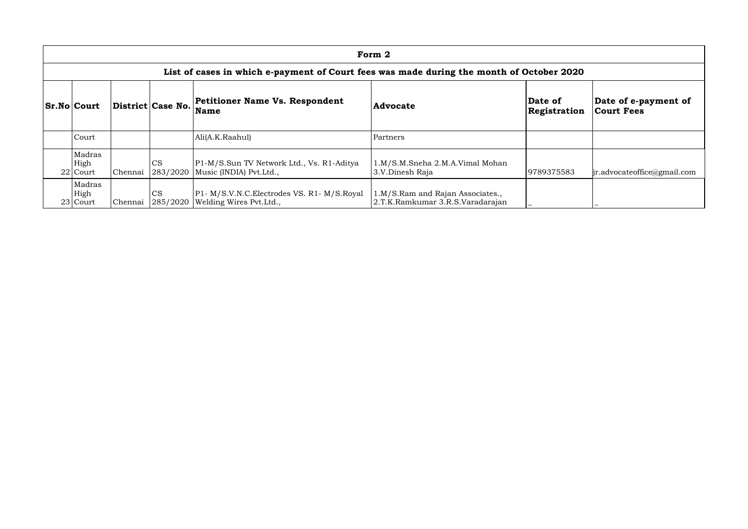| Form 2                                                                                   |         |                       |                                                                                     |                                                                      |                         |                                           |  |  |  |  |
|------------------------------------------------------------------------------------------|---------|-----------------------|-------------------------------------------------------------------------------------|----------------------------------------------------------------------|-------------------------|-------------------------------------------|--|--|--|--|
| List of cases in which e-payment of Court fees was made during the month of October 2020 |         |                       |                                                                                     |                                                                      |                         |                                           |  |  |  |  |
| <b>Sr.No Court</b>                                                                       |         | District Case No.     | Petitioner Name Vs. Respondent<br><b>Name</b>                                       | <b>Advocate</b>                                                      | Date of<br>Registration | Date of e-payment of<br><b>Court Fees</b> |  |  |  |  |
| Court                                                                                    |         |                       | Ali(A.K.Raahul)                                                                     | Partners                                                             |                         |                                           |  |  |  |  |
| Madras<br>High<br>$22$ Court                                                             | Chennai | <b>CS</b><br>283/2020 | P1-M/S.Sun TV Network Ltd., Vs. R1-Aditya<br>Music (INDIA) Pvt.Ltd.,                | 1.M/S.M.Sneha 2.M.A.Vimal Mohan<br>3.V.Dinesh Raja                   | 9789375583              | $\ $ ir.advocateoffice@gmail.com          |  |  |  |  |
| Madras<br>High<br>23 Court                                                               | Chennai | <b>CS</b>             | P1- M/S.V.N.C. Electrodes VS. R1- M/S. Royal<br>285/2020   Welding Wires Pvt. Ltd., | 1.M/S.Ram and Rajan Associates.,<br>2.T.K.Ramkumar 3.R.S.Varadarajan |                         |                                           |  |  |  |  |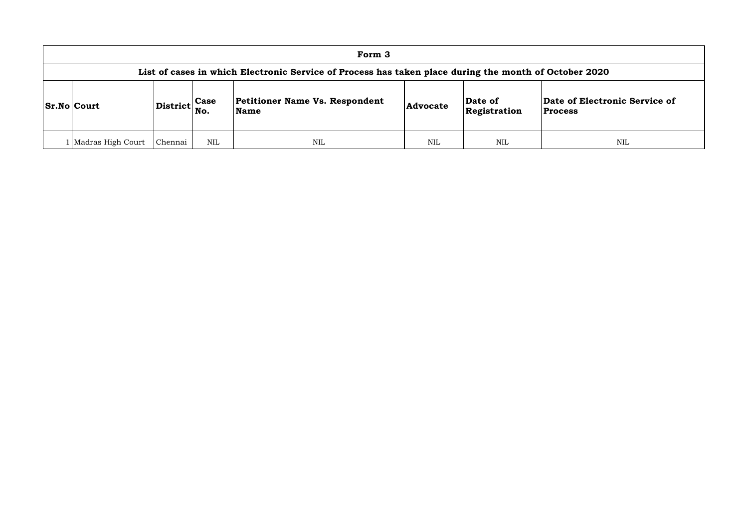### of Electronic Service of **Process**

| Form 3                                                                                                |         |     |                                               |                                            |     |                                      |  |  |  |  |
|-------------------------------------------------------------------------------------------------------|---------|-----|-----------------------------------------------|--------------------------------------------|-----|--------------------------------------|--|--|--|--|
| List of cases in which Electronic Service of Process has taken place during the month of October 2020 |         |     |                                               |                                            |     |                                      |  |  |  |  |
| $ Distribt $ Case<br><b>Sr.No Court</b><br>No.                                                        |         |     | Petitioner Name Vs. Respondent<br><b>Name</b> | Date of<br><b>Advocate</b><br>Registration |     | Date of Electronic<br><b>Process</b> |  |  |  |  |
| 1   Madras High Court                                                                                 | Chennai | NIL | <b>NIL</b>                                    | NIL                                        | NIL | <b>NIL</b>                           |  |  |  |  |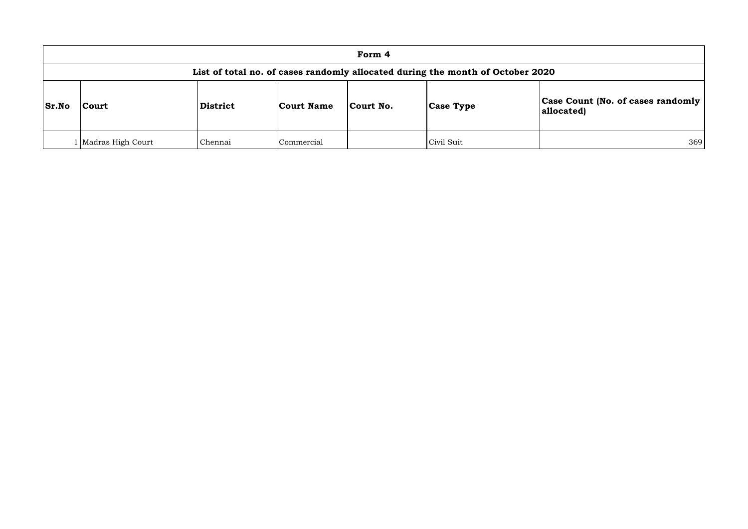## **Count (No. of cases randomly allocated)**

|              | Form 4                                                                         |          |                   |           |                  |                                                        |  |  |  |  |
|--------------|--------------------------------------------------------------------------------|----------|-------------------|-----------|------------------|--------------------------------------------------------|--|--|--|--|
|              | List of total no. of cases randomly allocated during the month of October 2020 |          |                   |           |                  |                                                        |  |  |  |  |
| <b>Sr.No</b> | <b>Court</b>                                                                   | District | <b>Court Name</b> | Court No. | <b>Case Type</b> | <b>Case Count (No. of cases randomly</b><br>allocated) |  |  |  |  |
|              | Madras High Court                                                              | Chennai  | Commercial        |           | Civil Suit       | 369                                                    |  |  |  |  |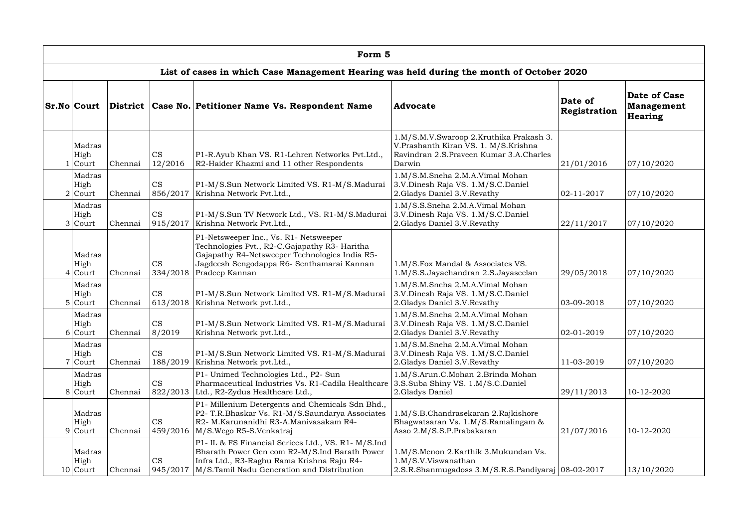| Form 5                      |         |                       |                                                                                                                                                                                                           |                                                                                                                                        |                         |                                                            |  |  |  |  |  |
|-----------------------------|---------|-----------------------|-----------------------------------------------------------------------------------------------------------------------------------------------------------------------------------------------------------|----------------------------------------------------------------------------------------------------------------------------------------|-------------------------|------------------------------------------------------------|--|--|--|--|--|
|                             |         |                       | List of cases in which Case Management Hearing was held during the month of October 2020                                                                                                                  |                                                                                                                                        |                         |                                                            |  |  |  |  |  |
| Sr.No Court                 |         |                       | District   Case No.   Petitioner Name Vs. Respondent Name                                                                                                                                                 | Advocate                                                                                                                               | Date of<br>Registration | <b>Date of Case</b><br><b>Management</b><br><b>Hearing</b> |  |  |  |  |  |
| Madras<br>High<br>Court     | Chennai | <b>CS</b><br>12/2016  | P1-R.Ayub Khan VS. R1-Lehren Networks Pvt.Ltd.,<br>R2-Haider Khazmi and 11 other Respondents                                                                                                              | 1.M/S.M.V.Swaroop 2.Kruthika Prakash 3.<br>V.Prashanth Kiran VS. 1. M/S.Krishna<br>Ravindran 2.S. Praveen Kumar 3.A. Charles<br>Darwin | 21/01/2016              | 07/10/2020                                                 |  |  |  |  |  |
| Madras<br>High<br>$2$ Court | Chennai | <b>CS</b><br>856/2017 | P1-M/S.Sun Network Limited VS. R1-M/S.Madurai<br>Krishna Network Pvt.Ltd.,                                                                                                                                | 1.M/S.M.Sneha 2.M.A.Vimal Mohan<br>3.V.Dinesh Raja VS. 1.M/S.C.Daniel<br>2. Gladys Daniel 3.V. Revathy                                 | $ 02 - 11 - 2017$       | 07/10/2020                                                 |  |  |  |  |  |
| Madras<br>High<br>3 Court   | Chennai | <b>CS</b><br>915/2017 | P1-M/S.Sun TV Network Ltd., VS. R1-M/S.Madurai<br>Krishna Network Pvt.Ltd.,                                                                                                                               | 1.M/S.S.Sneha 2.M.A.Vimal Mohan<br>3.V.Dinesh Raja VS. 1.M/S.C.Daniel<br>2. Gladys Daniel 3.V. Revathy                                 | 22/11/2017              | 07/10/2020                                                 |  |  |  |  |  |
| Madras<br>High<br>$4$ Court | Chennai | <b>CS</b><br>334/2018 | P1-Netsweeper Inc., Vs. R1- Netsweeper<br>Technologies Pvt., R2-C.Gajapathy R3- Haritha<br>Gajapathy R4-Netsweeper Technologies India R5-<br>Jagdeesh Sengodappa R6- Senthamarai Kannan<br>Pradeep Kannan | 1.M/S.Fox Mandal & Associates VS.<br>1.M/S.S.Jayachandran 2.S.Jayaseelan                                                               | 29/05/2018              | 07/10/2020                                                 |  |  |  |  |  |
| Madras<br>High<br>$5$ Court | Chennai | <b>CS</b>             | P1-M/S.Sun Network Limited VS. R1-M/S.Madurai<br>613/2018   Krishna Network pvt. Ltd.,                                                                                                                    | 1.M/S.M.Sneha 2.M.A.Vimal Mohan<br>3.V.Dinesh Raja VS. 1.M/S.C.Daniel<br>2. Gladys Daniel 3.V. Revathy                                 | $ 03-09-2018 $          | 07/10/2020                                                 |  |  |  |  |  |
| Madras<br>High<br>6 Court   | Chennai | <b>CS</b><br>8/2019   | P1-M/S.Sun Network Limited VS. R1-M/S.Madurai<br>Krishna Network pvt.Ltd.,                                                                                                                                | 1.M/S.M.Sneha 2.M.A.Vimal Mohan<br>3.V.Dinesh Raja VS. 1.M/S.C.Daniel<br>2. Gladys Daniel 3.V. Revathy                                 | $02 - 01 - 2019$        | 07/10/2020                                                 |  |  |  |  |  |
| Madras<br>High<br>7 Court   | Chennai | <b>CS</b>             | P1-M/S.Sun Network Limited VS. R1-M/S.Madurai<br>188/2019   Krishna Network pvt. Ltd.,                                                                                                                    | 1.M/S.M.Sneha 2.M.A.Vimal Mohan<br>3.V.Dinesh Raja VS. 1.M/S.C.Daniel<br>2. Gladys Daniel 3.V. Revathy                                 | 11-03-2019              | 07/10/2020                                                 |  |  |  |  |  |
| Madras<br>High<br>8 Court   | Chennai | <b>CS</b>             | P1- Unimed Technologies Ltd., P2- Sun<br>Pharmaceutical Industries Vs. R1-Cadila Healthcare 3.S.Suba Shiny VS. 1.M/S.C.Daniel<br>822/2013 Ltd., R2-Zydus Healthcare Ltd.,                                 | 1.M/S.Arun.C.Mohan 2.Brinda Mohan<br>2.Gladys Daniel                                                                                   | 29/11/2013              | 10-12-2020                                                 |  |  |  |  |  |
| Madras<br>High<br>9 Court   | Chennai | <b>CS</b>             | P1- Millenium Detergents and Chemicals Sdn Bhd.,<br>P2- T.R.Bhaskar Vs. R1-M/S.Saundarya Associates<br>R2- M.Karunanidhi R3-A.Manivasakam R4-<br>459/2016   M/S.Wego R5-S.Venkatraj                       | 1.M/S.B.Chandrasekaran 2.Rajkishore<br>Bhagwatsaran Vs. 1.M/S.Ramalingam &<br>Asso 2.M/S.S.P.Prabakaran                                | 21/07/2016              | 10-12-2020                                                 |  |  |  |  |  |
| Madras<br>High<br>10 Court  | Chennai | <b>CS</b><br>945/2017 | P1- IL & FS Financial Serices Ltd., VS. R1- M/S.Ind<br>Bharath Power Gen com R2-M/S.Ind Barath Power<br>Infra Ltd., R3-Raghu Rama Krishna Raju R4-<br>M/S.Tamil Nadu Generation and Distribution          | 1.M/S.Menon 2.Karthik 3.Mukundan Vs.<br>1.M/S.V.V is want than<br>2.S.R.Shanmugadoss 3.M/S.R.S.Pandiyaraj 08-02-2017                   |                         | 13/10/2020                                                 |  |  |  |  |  |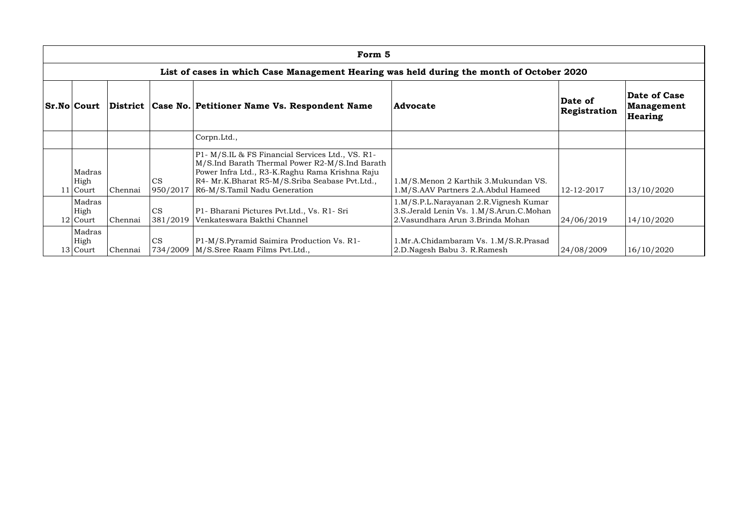|                    |                                                                                          |         |                       | Form 5                                                                                                                                                                                                                                 |                                                                                                                        |                         |                                       |  |  |  |  |
|--------------------|------------------------------------------------------------------------------------------|---------|-----------------------|----------------------------------------------------------------------------------------------------------------------------------------------------------------------------------------------------------------------------------------|------------------------------------------------------------------------------------------------------------------------|-------------------------|---------------------------------------|--|--|--|--|
|                    | List of cases in which Case Management Hearing was held during the month of October 2020 |         |                       |                                                                                                                                                                                                                                        |                                                                                                                        |                         |                                       |  |  |  |  |
| <b>Sr.No Court</b> |                                                                                          |         |                       | District   Case No.   Petitioner Name Vs. Respondent Name                                                                                                                                                                              | <b>Advocate</b>                                                                                                        | Date of<br>Registration | Date of Case<br>Management<br>Hearing |  |  |  |  |
|                    |                                                                                          |         |                       | Corpn.Ltd.,                                                                                                                                                                                                                            |                                                                                                                        |                         |                                       |  |  |  |  |
|                    | Madras<br>High<br>11 Court                                                               | Chennai | <b>CS</b><br>950/2017 | P1- M/S.IL & FS Financial Services Ltd., VS. R1-<br>M/S.Ind Barath Thermal Power R2-M/S.Ind Barath<br>Power Infra Ltd., R3-K.Raghu Rama Krishna Raju<br>R4- Mr.K.Bharat R5-M/S.Sriba Seabase Pvt.Ltd.,<br>R6-M/S.Tamil Nadu Generation | 1.M/S.Menon 2 Karthik 3.Mukundan VS.<br>1.M/S.AAV Partners 2.A.Abdul Hameed                                            | 12-12-2017              | 13/10/2020                            |  |  |  |  |
|                    | Madras<br>High<br>$12$ Court                                                             | Chennai | <b>CS</b>             | P1- Bharani Pictures Pvt.Ltd., Vs. R1- Sri<br>381/2019   Venkateswara Bakthi Channel                                                                                                                                                   | 1.M/S.P.L.Narayanan 2.R.Vignesh Kumar<br>3.S.Jerald Lenin Vs. 1.M/S.Arun.C.Mohan<br>2. Vasundhara Arun 3. Brinda Mohan | 24/06/2019              | 14/10/2020                            |  |  |  |  |
|                    | Madras<br>High<br>13 Court                                                               | Chennai | <b>CS</b>             | P1-M/S.Pyramid Saimira Production Vs. R1-<br>734/2009   M/S. Sree Raam Films Pvt. Ltd.,                                                                                                                                                | 1.Mr.A.Chidambaram Vs. 1.M/S.R.Prasad<br>2.D.Nagesh Babu 3. R.Ramesh                                                   | 24/08/2009              | 16/10/2020                            |  |  |  |  |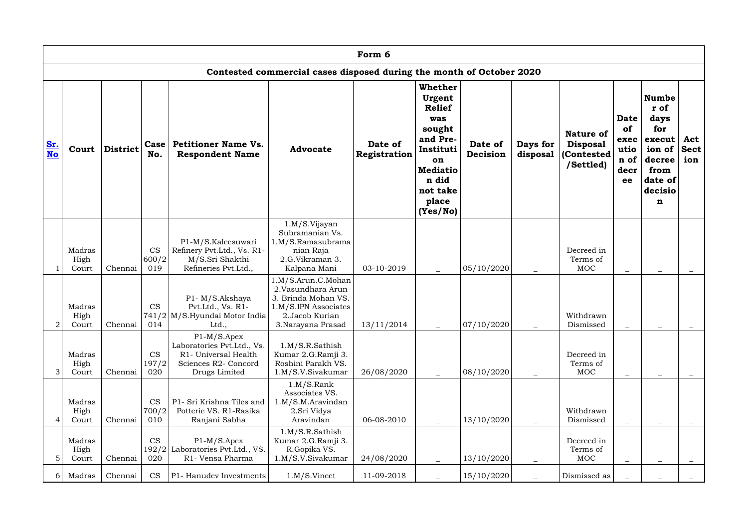|           | Form 6                       |                 |                           |                                                                                                              |                                                                                                                               |                         |                                                                                                                                                        |                     |                          |                                                                 |                                                         |                                                                                                      |                           |
|-----------|------------------------------|-----------------|---------------------------|--------------------------------------------------------------------------------------------------------------|-------------------------------------------------------------------------------------------------------------------------------|-------------------------|--------------------------------------------------------------------------------------------------------------------------------------------------------|---------------------|--------------------------|-----------------------------------------------------------------|---------------------------------------------------------|------------------------------------------------------------------------------------------------------|---------------------------|
|           |                              |                 |                           |                                                                                                              | Contested commercial cases disposed during the month of October 2020                                                          |                         |                                                                                                                                                        |                     |                          |                                                                 |                                                         |                                                                                                      |                           |
| Sr.<br>No | Court                        | <b>District</b> | Case<br>No.               | <b>Petitioner Name Vs.</b><br><b>Respondent Name</b>                                                         | <b>Advocate</b>                                                                                                               | Date of<br>Registration | <b>Whether</b><br>Urgent<br><b>Relief</b><br>was<br>sought<br>and Pre-<br>Instituti<br>on<br><b>Mediatio</b><br>n did<br>not take<br>place<br>(Yes/No) | Date of<br>Decision | Days for<br>disposal     | <b>Nature of</b><br><b>Disposal</b><br>(Contested)<br>/Settled) | <b>Date</b><br>of<br>exec<br>utio<br>n of<br>decr<br>ee | <b>Numbe</b><br>r of<br>days<br>for<br>execut<br>ion of<br>decree<br>from<br>date of<br>decisio<br>n | Act<br><b>Sect</b><br>ion |
|           | Madras<br>High<br>Court      | Chennai         | <b>CS</b><br>600/2<br>019 | P1-M/S.Kaleesuwari<br>Refinery Pvt.Ltd., Vs. R1-<br>M/S.Sri Shakthi<br>Refineries Pvt.Ltd.,                  | 1.M/S.Vijayan<br>Subramanian Vs.<br>1.M/S.Ramasubrama<br>nian Raja<br>2.G.Vikraman 3.<br>Kalpana Mani                         | 03-10-2019              |                                                                                                                                                        | 05/10/2020          |                          | Decreed in<br>Terms of<br><b>MOC</b>                            | $\overline{\phantom{0}}$                                |                                                                                                      |                           |
|           | Madras<br>High<br>2<br>Court | Chennai         | <b>CS</b><br>014          | P1-M/S.Akshaya<br>Pvt.Ltd., Vs. R1-<br>741/2 M/S.Hyundai Motor India<br>Ltd.,                                | 1.M/S.Arun.C.Mohan<br>2.Vasundhara Arun<br>3. Brinda Mohan VS.<br>1.M/S.IPN Associates<br>2.Jacob Kurian<br>3.Narayana Prasad | 13/11/2014              |                                                                                                                                                        | 07/10/2020          |                          | Withdrawn<br>Dismissed                                          |                                                         |                                                                                                      |                           |
|           | Madras<br>High<br>3<br>Court | Chennai         | <b>CS</b><br>197/2<br>020 | $P1-M/S.Apez$<br>Laboratories Pvt.Ltd., Vs.<br>R1- Universal Health<br>Sciences R2- Concord<br>Drugs Limited | 1.M/S.R.Sathish<br>Kumar 2.G.Ramji 3.<br>Roshini Parakh VS.<br>1.M/S.V.Sivakumar                                              | 26/08/2020              |                                                                                                                                                        | 08/10/2020          |                          | Decreed in<br>Terms of<br>MOC                                   | $\overline{\phantom{0}}$                                |                                                                                                      |                           |
|           | Madras<br>High<br>Court      | Chennai         | <b>CS</b><br>700/2<br>010 | P1- Sri Krishna Tiles and<br>Potterie VS. R1-Rasika<br>Ranjani Sabha                                         | 1.M/S.Rank<br>Associates VS.<br>1.M/S.M.Aravidan<br>2. Sri Vidya<br>Aravindan                                                 | 06-08-2010              |                                                                                                                                                        | 13/10/2020          | $\overline{\phantom{m}}$ | Withdrawn<br>Dismissed                                          |                                                         |                                                                                                      |                           |
|           | Madras<br>High<br>5<br>Court | Chennai         | CS<br>020                 | $P1-M/S.Apez$<br>192/2 Laboratories Pvt. Ltd., VS.<br>R1- Vensa Pharma                                       | 1.M/S.R.Sathish<br>Kumar 2.G.Ramji 3.<br>R.Gopika VS.<br>1.M/S.V.Sivakumar                                                    | 24/08/2020              |                                                                                                                                                        | 13/10/2020          | $\equiv$                 | Decreed in<br>Terms of<br><b>MOC</b>                            |                                                         |                                                                                                      |                           |
|           | Madras<br>6                  | Chennai         | <b>CS</b>                 | P1- Hanudev Investments                                                                                      | 1.M/S.Vinect                                                                                                                  | 11-09-2018              |                                                                                                                                                        | 15/10/2020          |                          | Dismissed as                                                    |                                                         |                                                                                                      |                           |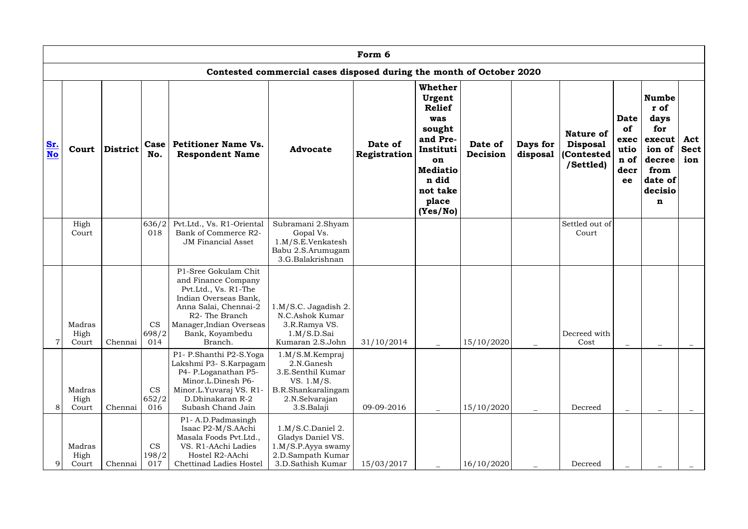|                                                                      | Form 6                  |                 |                           |                                                                                                                                                                                                                |                                                                                                                        |                         |                                                                                                                                                        |                     |                      |                                                                |                                                         |                                                                                                      |                           |
|----------------------------------------------------------------------|-------------------------|-----------------|---------------------------|----------------------------------------------------------------------------------------------------------------------------------------------------------------------------------------------------------------|------------------------------------------------------------------------------------------------------------------------|-------------------------|--------------------------------------------------------------------------------------------------------------------------------------------------------|---------------------|----------------------|----------------------------------------------------------------|---------------------------------------------------------|------------------------------------------------------------------------------------------------------|---------------------------|
| Contested commercial cases disposed during the month of October 2020 |                         |                 |                           |                                                                                                                                                                                                                |                                                                                                                        |                         |                                                                                                                                                        |                     |                      |                                                                |                                                         |                                                                                                      |                           |
| Sr.<br>No                                                            | Court                   | <b>District</b> | Case<br>No.               | <b>Petitioner Name Vs.</b><br><b>Respondent Name</b>                                                                                                                                                           | <b>Advocate</b>                                                                                                        | Date of<br>Registration | <b>Whether</b><br>Urgent<br><b>Relief</b><br>was<br>sought<br>and Pre-<br>Instituti<br>on<br><b>Mediatio</b><br>n did<br>not take<br>place<br>(Yes/No) | Date of<br>Decision | Days for<br>disposal | <b>Nature of</b><br><b>Disposal</b><br>(Contested<br>/Settled) | Date<br><b>of</b><br>exec<br>utio<br>n of<br>decr<br>ee | <b>Numbe</b><br>r of<br>days<br>for<br>execut<br>ion of<br>decree<br>from<br>date of<br>decisio<br>n | Act<br><b>Sect</b><br>ion |
|                                                                      | High<br>Court           |                 | 636/2<br>018              | Pvt.Ltd., Vs. R1-Oriental<br>Bank of Commerce R2-<br><b>JM Financial Asset</b>                                                                                                                                 | Subramani 2.Shyam<br>Gopal Vs.<br>1.M/S.E.Venkatesh<br>Babu 2.S.Arumugam<br>3.G.Balakrishnan                           |                         |                                                                                                                                                        |                     |                      | Settled out of<br>Court                                        |                                                         |                                                                                                      |                           |
|                                                                      | Madras<br>High<br>Court | Chennai         | <b>CS</b><br>698/2<br>014 | P1-Sree Gokulam Chit<br>and Finance Company<br>Pvt.Ltd., Vs. R1-The<br>Indian Overseas Bank,<br>Anna Salai, Chennai-2<br>R <sub>2</sub> - The Branch<br>Manager, Indian Overseas<br>Bank, Koyambedu<br>Branch. | 1.M/S.C. Jagadish 2.<br>N.C.Ashok Kumar<br>3.R.Ramya VS.<br>1.M/S.D.Sai<br>Kumaran 2.S.John                            | 31/10/2014              |                                                                                                                                                        | 15/10/2020          |                      | Decreed with<br>Cost                                           |                                                         |                                                                                                      |                           |
| 8                                                                    | Madras<br>High<br>Court | Chennai         | <b>CS</b><br>652/2<br>016 | P1- P.Shanthi P2-S.Yoga<br>Lakshmi P3- S.Karpagam<br>P4- P.Loganathan P5-<br>Minor.L.Dinesh P6-<br>Minor.L.Yuvaraj VS. R1-<br>D.Dhinakaran R-2<br>Subash Chand Jain                                            | 1.M/S.M.Kempraj<br>2.N.Ganesh<br>3.E.Senthil Kumar<br>VS. 1.M/S.<br>B.R.Shankaralingam<br>2.N.Selvarajan<br>3.S.Balaji | 09-09-2016              |                                                                                                                                                        | 15/10/2020          |                      | Decreed                                                        | $\overline{\phantom{m}}$                                |                                                                                                      |                           |
| 9                                                                    | Madras<br>High<br>Court | Chennai         | <b>CS</b><br>198/2<br>017 | P1-A.D.Padmasingh<br>Isaac P2-M/S.AAchi<br>Masala Foods Pvt.Ltd.,<br>VS. R1-AAchi Ladies<br>Hostel R2-AAchi<br>Chettinad Ladies Hostel                                                                         | 1.M/S.C.Daniel 2.<br>Gladys Daniel VS.<br>1.M/S.P.Ayya swamy<br>2.D.Sampath Kumar<br>3.D.Sathish Kumar                 | 15/03/2017              |                                                                                                                                                        | 16/10/2020          |                      | Decreed                                                        |                                                         |                                                                                                      |                           |